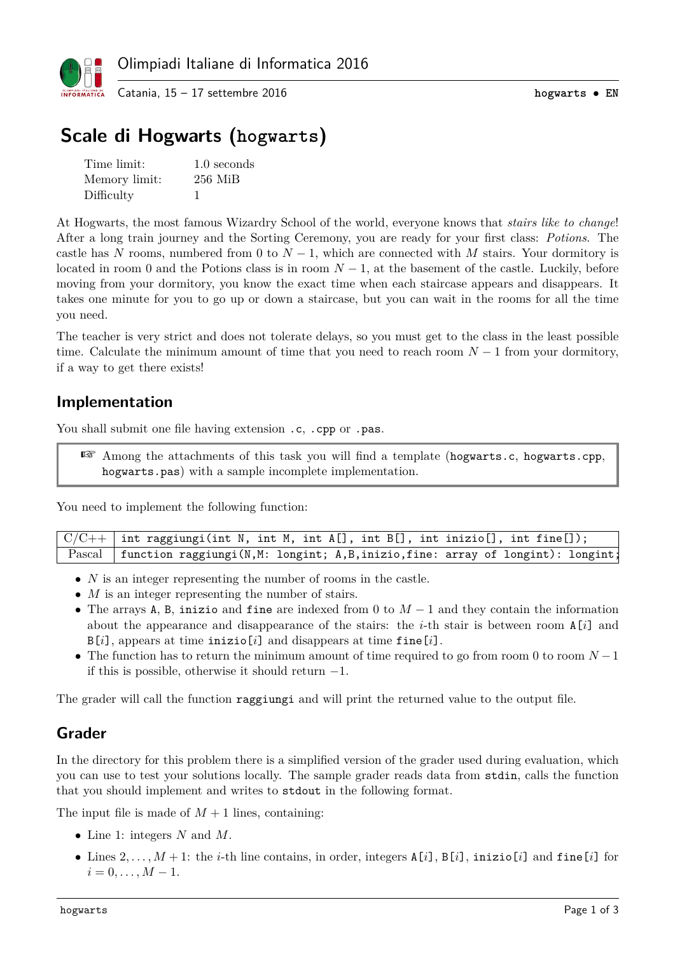

# **Scale di Hogwarts (hogwarts)**

| Time limit:   | 1.0 seconds |
|---------------|-------------|
| Memory limit: | $256$ MiB   |
| Difficulty    |             |

At Hogwarts, the most famous Wizardry School of the world, everyone knows that *stairs like to change*! After a long train journey and the Sorting Ceremony, you are ready for your first class: *Potions*. The castle has *N* rooms, numbered from 0 to  $N-1$ , which are connected with *M* stairs. Your dormitory is located in room 0 and the Potions class is in room  $N-1$ , at the basement of the castle. Luckily, before moving from your dormitory, you know the exact time when each staircase appears and disappears. It takes one minute for you to go up or down a staircase, but you can wait in the rooms for all the time you need.

The teacher is very strict and does not tolerate delays, so you must get to the class in the least possible time. Calculate the minimum amount of time that you need to reach room *N* − 1 from your dormitory, if a way to get there exists!

### **Implementation**

You shall submit one file having extension .c, .cpp or .pas.

☞ Among the attachments of this task you will find a template (hogwarts.c, hogwarts.cpp, hogwarts.pas) with a sample incomplete implementation.

You need to implement the following function:

| $\mid$ C/C++ $\mid$ int raggiungi(int N, int M, int A[], int B[], int inizio[], int fine[]);  |  |  |  |  |  |  |
|-----------------------------------------------------------------------------------------------|--|--|--|--|--|--|
| $\Gamma$ ascal   function raggiungi(N,M: longint; A,B,inizio,fine: array of longint): longint |  |  |  |  |  |  |

- *N* is an integer representing the number of rooms in the castle.
- *M* is an integer representing the number of stairs.
- The arrays A, B, inizio and fine are indexed from 0 to *M* − 1 and they contain the information about the appearance and disappearance of the stairs: the *i*-th stair is between room A[*i*] and B[*i*], appears at time inizio[*i*] and disappears at time fine[*i*].
- The function has to return the minimum amount of time required to go from room 0 to room *N* −1 if this is possible, otherwise it should return −1.

The grader will call the function raggiungi and will print the returned value to the output file.

## **Grader**

In the directory for this problem there is a simplified version of the grader used during evaluation, which you can use to test your solutions locally. The sample grader reads data from stdin, calls the function that you should implement and writes to stdout in the following format.

The input file is made of  $M + 1$  lines, containing:

- Line 1: integers *N* and *M*.
- Lines  $2, \ldots, M+1$ : the *i*-th line contains, in order, integers  $A[i]$ ,  $B[i]$ , inizio[*i*] and fine[*i*] for  $i = 0, \ldots, M - 1.$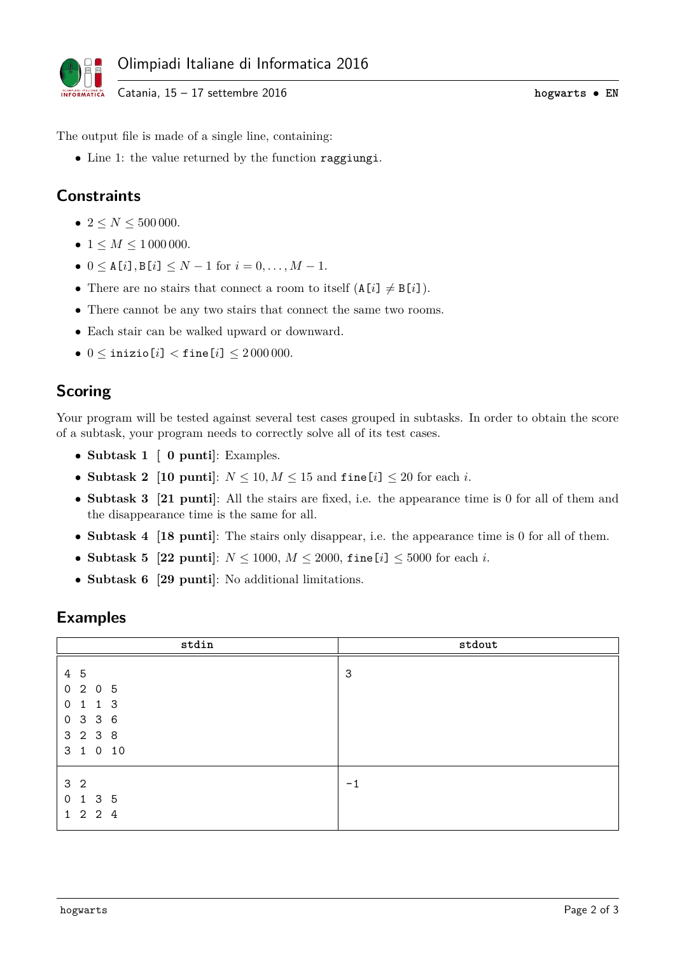

Catania, 15 – 17 settembre 2016 **hogwarts** • **EN**

The output file is made of a single line, containing:

• Line 1: the value returned by the function raggiungi.

# **Constraints**

- $2 \le N \le 500000$ .
- $1 \leq M \leq 1000000$ .
- $0 \leq A[i], B[i] \leq N-1$  for  $i = 0, ..., M-1$ .
- There are no stairs that connect a room to itself  $(A[i] \neq B[i])$ .
- There cannot be any two stairs that connect the same two rooms.
- Each stair can be walked upward or downward.
- $0 \le i$ nizio[*i*]  $<$  fine[*i*]  $\le 2000000$ .

### **Scoring**

Your program will be tested against several test cases grouped in subtasks. In order to obtain the score of a subtask, your program needs to correctly solve all of its test cases.

- **Subtask 1 [ 0 punti]**: Examples.
- **Subtask 2** [10 puntil:  $N \leq 10, M \leq 15$  and  $\text{fine}[i] \leq 20$  for each *i*.
- **Subtask 3 [21 punti]**: All the stairs are fixed, i.e. the appearance time is 0 for all of them and the disappearance time is the same for all.
- **Subtask 4** [18 punti]: The stairs only disappear, i.e. the appearance time is 0 for all of them.
- **Subtask 5 [22 punti**]:  $N \le 1000$ ,  $M \le 2000$ , fine [*i*]  $\le 5000$  for each *i*.
- **Subtask 6 [29 punti]**: No additional limitations.

#### **Examples**

| stdin                                                                                                                           | stdout |
|---------------------------------------------------------------------------------------------------------------------------------|--------|
| 4 5<br>$\mathbf 0$<br>$2\quad0$<br>$5\overline{5}$<br>$1\quad1\quad3$<br>$\mathbf 0$<br>3 3 6<br>$\circ$<br>3 2 3 8<br>3 1 0 10 | 3      |
| 3 <sub>2</sub><br>3 5<br>$\mathbf 0$<br>$\mathbf{1}$<br>$1\quad 2\quad 2$<br>$\overline{4}$                                     | $-1$   |